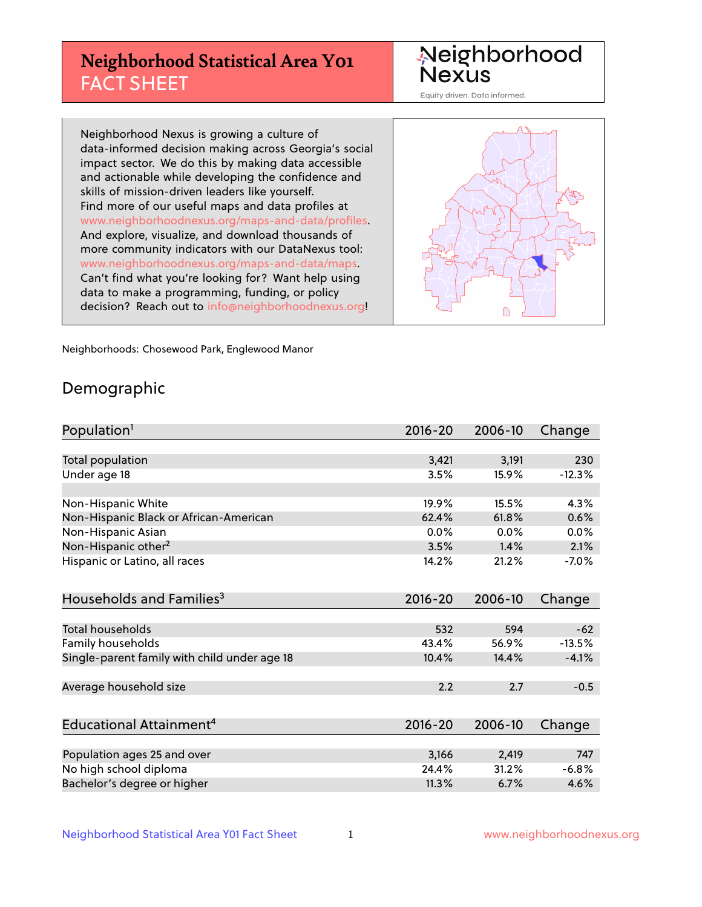## **Neighborhood Statistical Area Y01** FACT SHEET

Neighborhood Nexus

Equity driven. Data informed.

Neighborhood Nexus is growing a culture of data-informed decision making across Georgia's social impact sector. We do this by making data accessible and actionable while developing the confidence and skills of mission-driven leaders like yourself. Find more of our useful maps and data profiles at www.neighborhoodnexus.org/maps-and-data/profiles. And explore, visualize, and download thousands of more community indicators with our DataNexus tool: www.neighborhoodnexus.org/maps-and-data/maps. Can't find what you're looking for? Want help using data to make a programming, funding, or policy decision? Reach out to [info@neighborhoodnexus.org!](mailto:info@neighborhoodnexus.org)



Neighborhoods: Chosewood Park, Englewood Manor

### Demographic

| Population <sup>1</sup>                      | $2016 - 20$ | 2006-10 | Change   |
|----------------------------------------------|-------------|---------|----------|
|                                              |             |         |          |
| Total population                             | 3,421       | 3,191   | 230      |
| Under age 18                                 | 3.5%        | 15.9%   | $-12.3%$ |
|                                              |             |         |          |
| Non-Hispanic White                           | 19.9%       | 15.5%   | 4.3%     |
| Non-Hispanic Black or African-American       | 62.4%       | 61.8%   | 0.6%     |
| Non-Hispanic Asian                           | 0.0%        | 0.0%    | 0.0%     |
| Non-Hispanic other <sup>2</sup>              | 3.5%        | 1.4%    | 2.1%     |
| Hispanic or Latino, all races                | 14.2%       | 21.2%   | $-7.0%$  |
|                                              |             |         |          |
| Households and Families <sup>3</sup>         | $2016 - 20$ | 2006-10 | Change   |
|                                              |             |         |          |
| <b>Total households</b>                      | 532         | 594     | $-62$    |
| Family households                            | 43.4%       | 56.9%   | $-13.5%$ |
| Single-parent family with child under age 18 | 10.4%       | 14.4%   | $-4.1%$  |
|                                              |             |         |          |
| Average household size                       | 2.2         | 2.7     | $-0.5$   |
|                                              |             |         |          |
| Educational Attainment <sup>4</sup>          | $2016 - 20$ | 2006-10 | Change   |
|                                              |             |         |          |
| Population ages 25 and over                  | 3,166       | 2,419   | 747      |
| No high school diploma                       | 24.4%       | 31.2%   | $-6.8%$  |
| Bachelor's degree or higher                  | 11.3%       | 6.7%    | 4.6%     |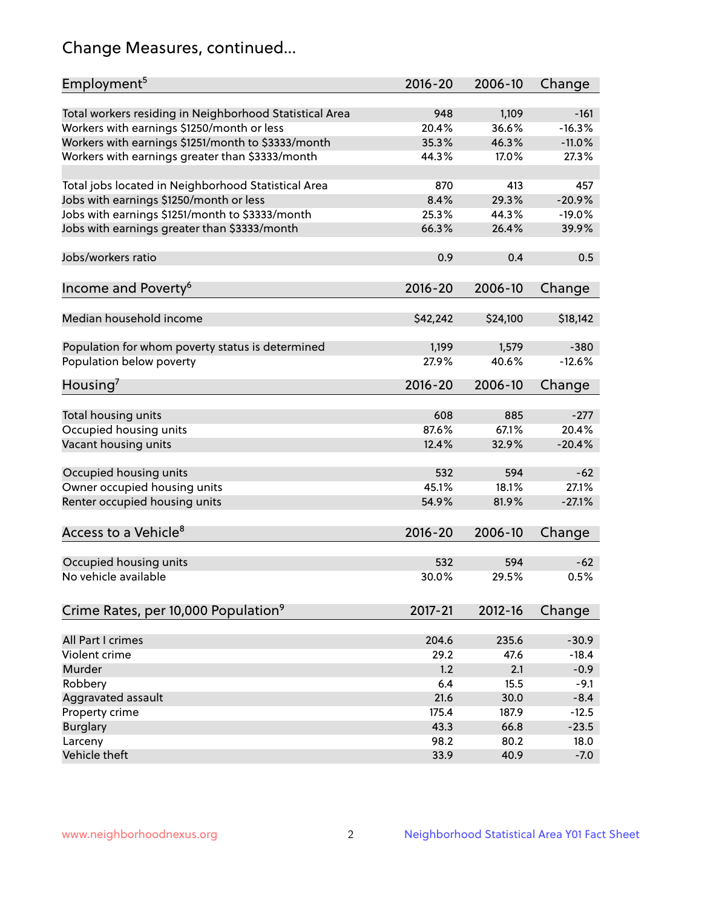## Change Measures, continued...

| Employment <sup>5</sup>                                                                               | $2016 - 20$  | 2006-10        | Change   |
|-------------------------------------------------------------------------------------------------------|--------------|----------------|----------|
|                                                                                                       |              |                | $-161$   |
| Total workers residing in Neighborhood Statistical Area                                               | 948<br>20.4% | 1,109<br>36.6% | $-16.3%$ |
| Workers with earnings \$1250/month or less                                                            | 35.3%        | 46.3%          | $-11.0%$ |
| Workers with earnings \$1251/month to \$3333/month<br>Workers with earnings greater than \$3333/month | 44.3%        | 17.0%          | 27.3%    |
|                                                                                                       |              |                |          |
| Total jobs located in Neighborhood Statistical Area                                                   | 870          | 413            | 457      |
| Jobs with earnings \$1250/month or less                                                               | 8.4%         | 29.3%          | $-20.9%$ |
| Jobs with earnings \$1251/month to \$3333/month                                                       | 25.3%        | 44.3%          | $-19.0%$ |
| Jobs with earnings greater than \$3333/month                                                          | 66.3%        | 26.4%          | 39.9%    |
|                                                                                                       |              |                |          |
| Jobs/workers ratio                                                                                    | 0.9          | 0.4            | 0.5      |
|                                                                                                       |              |                |          |
| Income and Poverty <sup>6</sup>                                                                       | 2016-20      | 2006-10        | Change   |
|                                                                                                       |              |                |          |
| Median household income                                                                               | \$42,242     | \$24,100       | \$18,142 |
|                                                                                                       |              |                |          |
| Population for whom poverty status is determined                                                      | 1,199        | 1,579          | $-380$   |
| Population below poverty                                                                              | 27.9%        | 40.6%          | $-12.6%$ |
|                                                                                                       |              |                |          |
| Housing <sup>7</sup>                                                                                  | 2016-20      | 2006-10        | Change   |
|                                                                                                       |              |                |          |
| Total housing units                                                                                   | 608          | 885            | $-277$   |
| Occupied housing units                                                                                | 87.6%        | 67.1%          | 20.4%    |
| Vacant housing units                                                                                  | 12.4%        | 32.9%          | $-20.4%$ |
|                                                                                                       |              |                |          |
| Occupied housing units                                                                                | 532          | 594            | $-62$    |
| Owner occupied housing units                                                                          | 45.1%        | 18.1%          | 27.1%    |
| Renter occupied housing units                                                                         | 54.9%        | 81.9%          | $-27.1%$ |
|                                                                                                       |              |                |          |
| Access to a Vehicle <sup>8</sup>                                                                      | $2016 - 20$  | 2006-10        | Change   |
|                                                                                                       |              |                |          |
| Occupied housing units                                                                                | 532          | 594            | $-62$    |
| No vehicle available                                                                                  | 30.0%        | 29.5%          | 0.5%     |
|                                                                                                       |              |                |          |
| Crime Rates, per 10,000 Population <sup>9</sup>                                                       | 2017-21      | 2012-16        | Change   |
|                                                                                                       |              |                |          |
| All Part I crimes                                                                                     | 204.6        | 235.6          | $-30.9$  |
| Violent crime                                                                                         | 29.2         | 47.6           | $-18.4$  |
| Murder                                                                                                | 1.2          | 2.1            | $-0.9$   |
| Robbery                                                                                               | 6.4          | 15.5           | $-9.1$   |
| Aggravated assault                                                                                    | 21.6         | 30.0           | $-8.4$   |
| Property crime                                                                                        | 175.4        | 187.9          | $-12.5$  |
| <b>Burglary</b>                                                                                       | 43.3         | 66.8           | $-23.5$  |
| Larceny                                                                                               | 98.2         | 80.2           | 18.0     |
| Vehicle theft                                                                                         | 33.9         | 40.9           | $-7.0$   |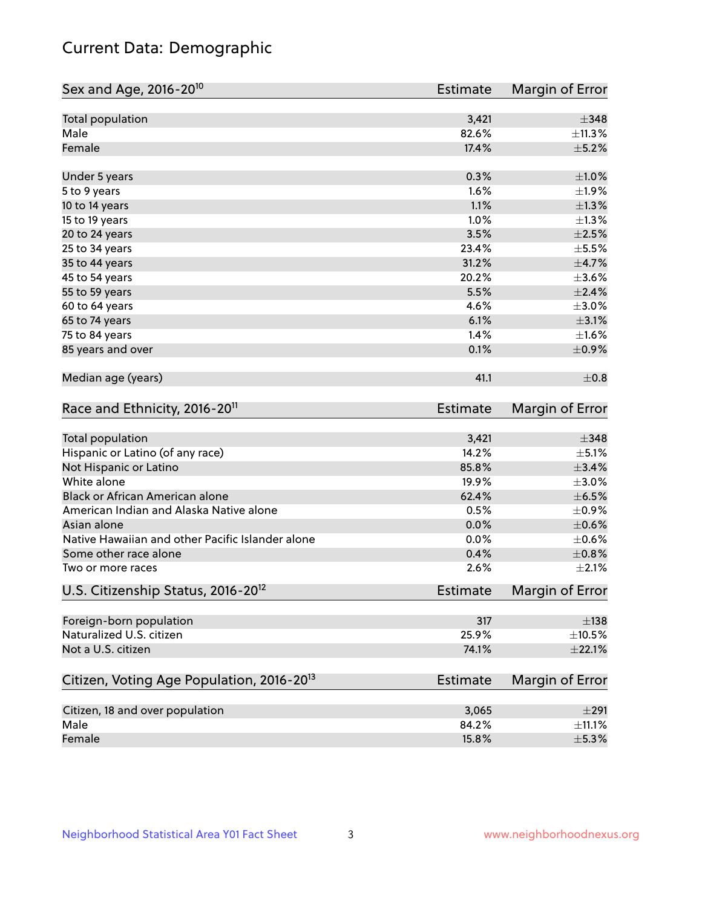## Current Data: Demographic

| Sex and Age, 2016-20 <sup>10</sup>                    | <b>Estimate</b> | Margin of Error |
|-------------------------------------------------------|-----------------|-----------------|
| Total population                                      | 3,421           | $\pm$ 348       |
| Male                                                  | 82.6%           | ±11.3%          |
| Female                                                | 17.4%           | $\pm$ 5.2%      |
| Under 5 years                                         | 0.3%            | $\pm 1.0\%$     |
| 5 to 9 years                                          | 1.6%            | ±1.9%           |
| 10 to 14 years                                        | 1.1%            | $\pm 1.3\%$     |
| 15 to 19 years                                        | 1.0%            | $\pm 1.3\%$     |
| 20 to 24 years                                        | 3.5%            | $\pm 2.5\%$     |
| 25 to 34 years                                        | 23.4%           | $\pm$ 5.5%      |
| 35 to 44 years                                        | 31.2%           | $\pm$ 4.7%      |
| 45 to 54 years                                        | 20.2%           | $\pm 3.6\%$     |
| 55 to 59 years                                        | 5.5%            | $\pm 2.4\%$     |
| 60 to 64 years                                        | 4.6%            | $\pm 3.0\%$     |
| 65 to 74 years                                        | 6.1%            | $\pm 3.1\%$     |
| 75 to 84 years                                        | 1.4%            | $\pm 1.6\%$     |
| 85 years and over                                     | 0.1%            | $\pm$ 0.9%      |
| Median age (years)                                    | 41.1            | $\pm$ 0.8       |
| Race and Ethnicity, 2016-20 <sup>11</sup>             | <b>Estimate</b> | Margin of Error |
| <b>Total population</b>                               | 3,421           | $\pm$ 348       |
| Hispanic or Latino (of any race)                      | 14.2%           | $\pm$ 5.1%      |
| Not Hispanic or Latino                                | 85.8%           | $\pm$ 3.4%      |
| White alone                                           | 19.9%           | $\pm 3.0\%$     |
| Black or African American alone                       | 62.4%           | $\pm$ 6.5%      |
| American Indian and Alaska Native alone               | 0.5%            | $\pm$ 0.9%      |
| Asian alone                                           | 0.0%            | $\pm$ 0.6%      |
| Native Hawaiian and other Pacific Islander alone      | 0.0%            | $\pm$ 0.6%      |
| Some other race alone                                 | 0.4%            | $\pm 0.8\%$     |
| Two or more races                                     | 2.6%            | $\pm 2.1\%$     |
| U.S. Citizenship Status, 2016-20 <sup>12</sup>        | <b>Estimate</b> | Margin of Error |
| Foreign-born population                               | 317             | $\pm$ 138       |
| Naturalized U.S. citizen                              | 25.9%           | $\pm 10.5\%$    |
| Not a U.S. citizen                                    | 74.1%           | $\pm 22.1\%$    |
| Citizen, Voting Age Population, 2016-20 <sup>13</sup> | <b>Estimate</b> | Margin of Error |
| Citizen, 18 and over population                       | 3,065           | $\pm 291$       |
| Male                                                  | 84.2%           | $\pm$ 11.1%     |
| Female                                                | 15.8%           | $\pm$ 5.3%      |
|                                                       |                 |                 |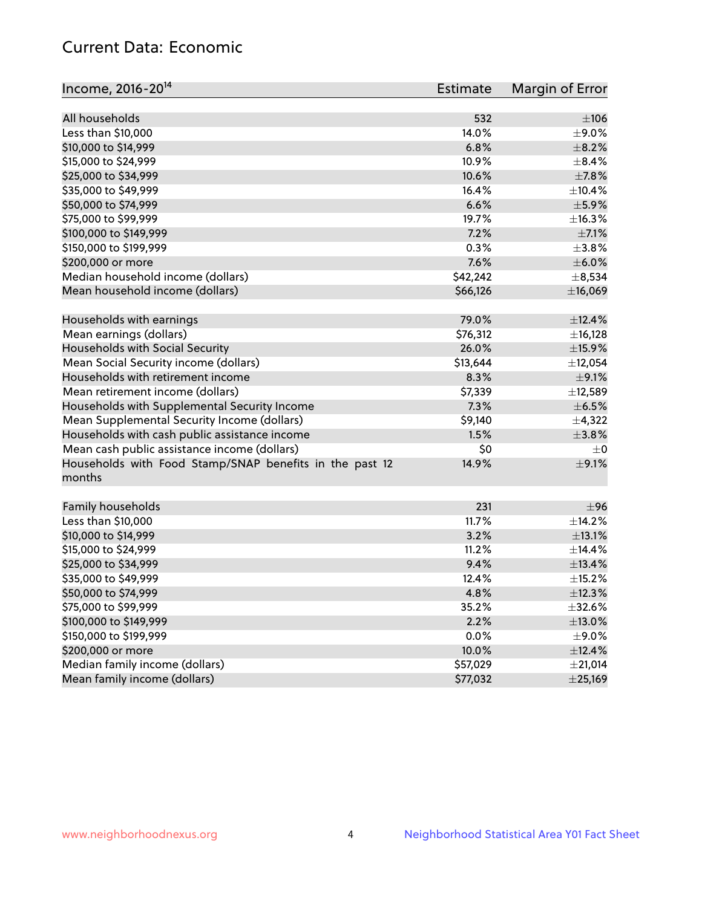## Current Data: Economic

| Income, 2016-20 <sup>14</sup>                                     | Estimate     | Margin of Error |
|-------------------------------------------------------------------|--------------|-----------------|
|                                                                   |              |                 |
| All households                                                    | 532          | $\pm 106$       |
| Less than \$10,000                                                | 14.0%        | $\pm$ 9.0%      |
| \$10,000 to \$14,999                                              | 6.8%         | $\pm$ 8.2%      |
| \$15,000 to \$24,999                                              | 10.9%        | $\pm$ 8.4%      |
| \$25,000 to \$34,999                                              | 10.6%        | $\pm$ 7.8%      |
| \$35,000 to \$49,999                                              | 16.4%        | ±10.4%          |
| \$50,000 to \$74,999                                              | 6.6%         | $\pm$ 5.9%      |
| \$75,000 to \$99,999                                              | 19.7%        | ±16.3%          |
| \$100,000 to \$149,999                                            | 7.2%         | $\pm$ 7.1%      |
| \$150,000 to \$199,999                                            | 0.3%         | $\pm$ 3.8%      |
| \$200,000 or more                                                 | 7.6%         | $\pm$ 6.0%      |
| Median household income (dollars)                                 | \$42,242     | ±8,534          |
| Mean household income (dollars)                                   | \$66,126     | ±16,069         |
| Households with earnings                                          | 79.0%        | ±12.4%          |
| Mean earnings (dollars)                                           | \$76,312     | ±16,128         |
| Households with Social Security                                   | 26.0%        | $\pm$ 15.9%     |
| Mean Social Security income (dollars)                             | \$13,644     | ±12,054         |
| Households with retirement income                                 | 8.3%         | $\pm$ 9.1%      |
| Mean retirement income (dollars)                                  | \$7,339      | ±12,589         |
| Households with Supplemental Security Income                      | 7.3%         | $\pm$ 6.5%      |
| Mean Supplemental Security Income (dollars)                       | \$9,140      | $\pm$ 4,322     |
| Households with cash public assistance income                     | 1.5%         | ±3.8%           |
| Mean cash public assistance income (dollars)                      | \$0          | $\pm$ 0         |
|                                                                   | 14.9%        | $\pm$ 9.1%      |
| Households with Food Stamp/SNAP benefits in the past 12<br>months |              |                 |
|                                                                   |              |                 |
| Family households                                                 | 231<br>11.7% | ±96<br>±14.2%   |
| Less than \$10,000<br>\$10,000 to \$14,999                        | 3.2%         |                 |
|                                                                   |              | ±13.1%          |
| \$15,000 to \$24,999                                              | 11.2%        | ±14.4%          |
| \$25,000 to \$34,999                                              | 9.4%         | ±13.4%          |
| \$35,000 to \$49,999                                              | 12.4%        | ±15.2%          |
| \$50,000 to \$74,999                                              | 4.8%         | ±12.3%          |
| \$75,000 to \$99,999                                              | 35.2%        | $\pm$ 32.6%     |
| \$100,000 to \$149,999                                            | 2.2%         | $\pm$ 13.0%     |
| \$150,000 to \$199,999                                            | 0.0%         | $\pm$ 9.0%      |
| \$200,000 or more                                                 | 10.0%        | ±12.4%          |
| Median family income (dollars)                                    | \$57,029     | ±21,014         |
| Mean family income (dollars)                                      | \$77,032     | $±$ 25,169      |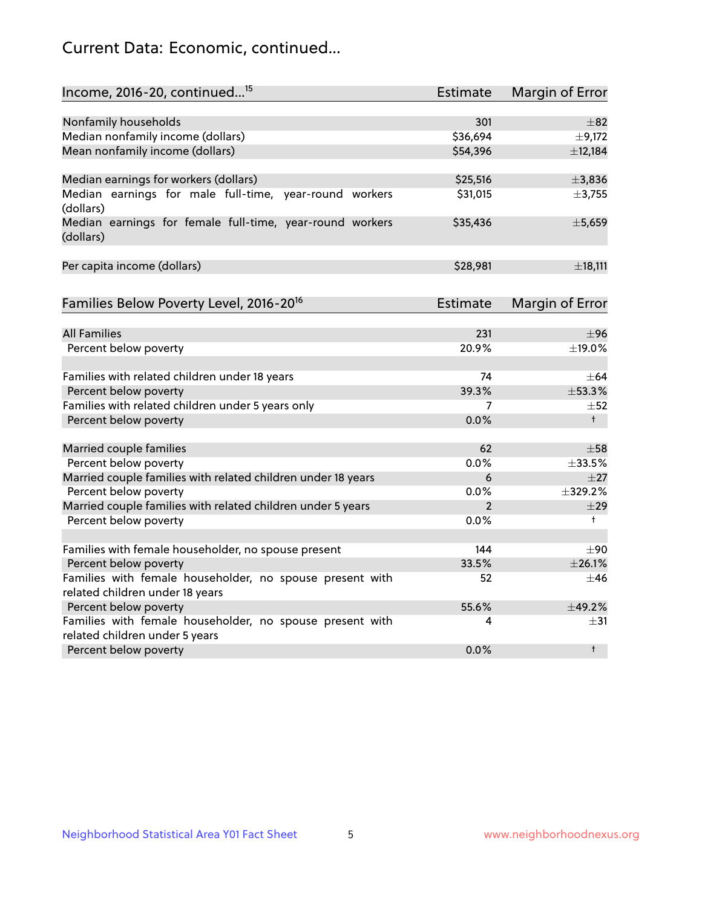## Current Data: Economic, continued...

| Income, 2016-20, continued <sup>15</sup>                              | <b>Estimate</b> | Margin of Error        |
|-----------------------------------------------------------------------|-----------------|------------------------|
|                                                                       |                 |                        |
| Nonfamily households                                                  | 301             | $\pm$ 82               |
| Median nonfamily income (dollars)                                     | \$36,694        | $\pm$ 9,172            |
| Mean nonfamily income (dollars)                                       | \$54,396        | ±12,184                |
| Median earnings for workers (dollars)                                 | \$25,516        | ±3,836                 |
| Median earnings for male full-time, year-round workers<br>(dollars)   | \$31,015        | ±3,755                 |
| Median earnings for female full-time, year-round workers<br>(dollars) | \$35,436        | ±5,659                 |
| Per capita income (dollars)                                           | \$28,981        | ±18,111                |
| Families Below Poverty Level, 2016-20 <sup>16</sup>                   | <b>Estimate</b> | <b>Margin of Error</b> |
|                                                                       |                 |                        |
| <b>All Families</b>                                                   | 231             | ±96                    |
| Percent below poverty                                                 | 20.9%           | ±19.0%                 |
| Families with related children under 18 years                         | 74              | $\pm$ 64               |
| Percent below poverty                                                 | 39.3%           | ±53.3%                 |
| Families with related children under 5 years only                     | 7               | $\pm 52$               |
| Percent below poverty                                                 | 0.0%            | $+$                    |
| Married couple families                                               | 62              | $\pm$ 58               |
| Percent below poverty                                                 | 0.0%            | ±33.5%                 |
| Married couple families with related children under 18 years          | 6               | $\pm$ 27               |
| Percent below poverty                                                 | $0.0\%$         | ±329.2%                |
| Married couple families with related children under 5 years           | $\overline{2}$  | ±29                    |
| Percent below poverty                                                 | 0.0%            | $^+$                   |
| Families with female householder, no spouse present                   | 144             | $\pm 90$               |
| Percent below poverty                                                 | 33.5%           | ±26.1%                 |
| Families with female householder, no spouse present with              | 52              | $+46$                  |
| related children under 18 years                                       |                 |                        |
| Percent below poverty                                                 | 55.6%           | ±49.2%                 |
| Families with female householder, no spouse present with              | 4               | $\pm$ 31               |
| related children under 5 years                                        |                 |                        |
| Percent below poverty                                                 | 0.0%            | $^{\dagger}$           |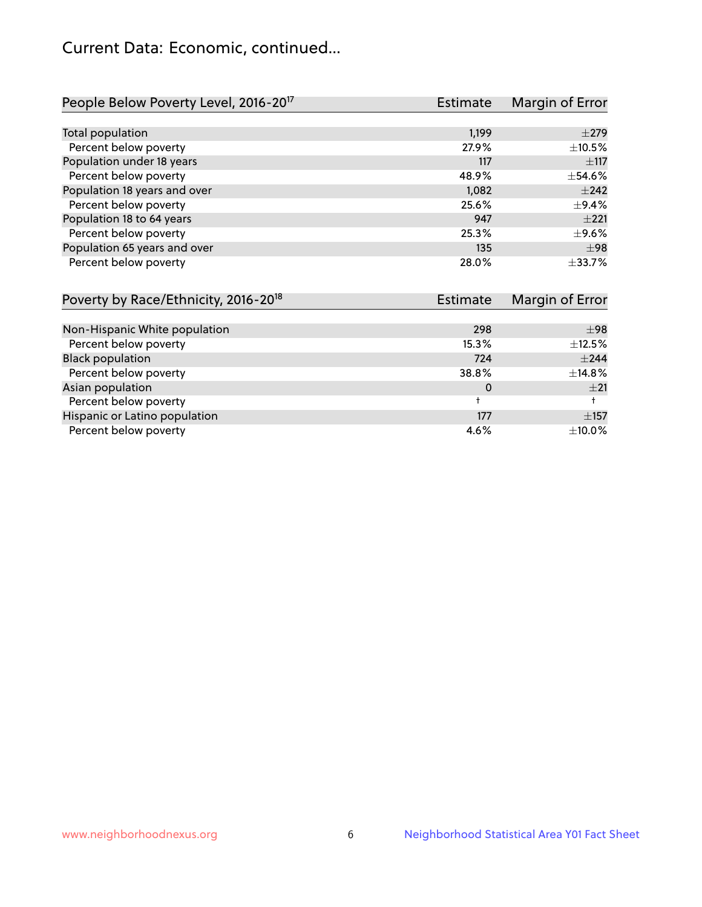## Current Data: Economic, continued...

| People Below Poverty Level, 2016-20 <sup>17</sup> | Estimate        | Margin of Error |
|---------------------------------------------------|-----------------|-----------------|
|                                                   |                 |                 |
| Total population                                  | 1,199           | $\pm 279$       |
| Percent below poverty                             | 27.9%           | ±10.5%          |
| Population under 18 years                         | 117             | $\pm$ 117       |
| Percent below poverty                             | 48.9%           | $\pm$ 54.6%     |
| Population 18 years and over                      | 1,082           | $\pm 242$       |
| Percent below poverty                             | 25.6%           | $\pm$ 9.4%      |
| Population 18 to 64 years                         | 947             | $+221$          |
| Percent below poverty                             | 25.3%           | $\pm$ 9.6%      |
| Population 65 years and over                      | 135             | ±98             |
| Percent below poverty                             | 28.0%           | ±33.7%          |
| Dovarty by Daco $E$ thnicity $2016-2018$          | E <sub>cf</sub> | Margin of Error |

| POVERTY DY RACE/ETHICITY, 2016-20 | <b>Estimate</b> | <b>Nargin of Error</b> |
|-----------------------------------|-----------------|------------------------|
|                                   |                 |                        |
| Non-Hispanic White population     | 298             | ±98                    |
| Percent below poverty             | 15.3%           | $\pm$ 12.5%            |
| <b>Black population</b>           | 724             | $\pm 244$              |
| Percent below poverty             | 38.8%           | ±14.8%                 |
| Asian population                  | 0               | $+21$                  |
| Percent below poverty             |                 |                        |
| Hispanic or Latino population     | 177             | $\pm$ 157              |
| Percent below poverty             | 4.6%            | ±10.0%                 |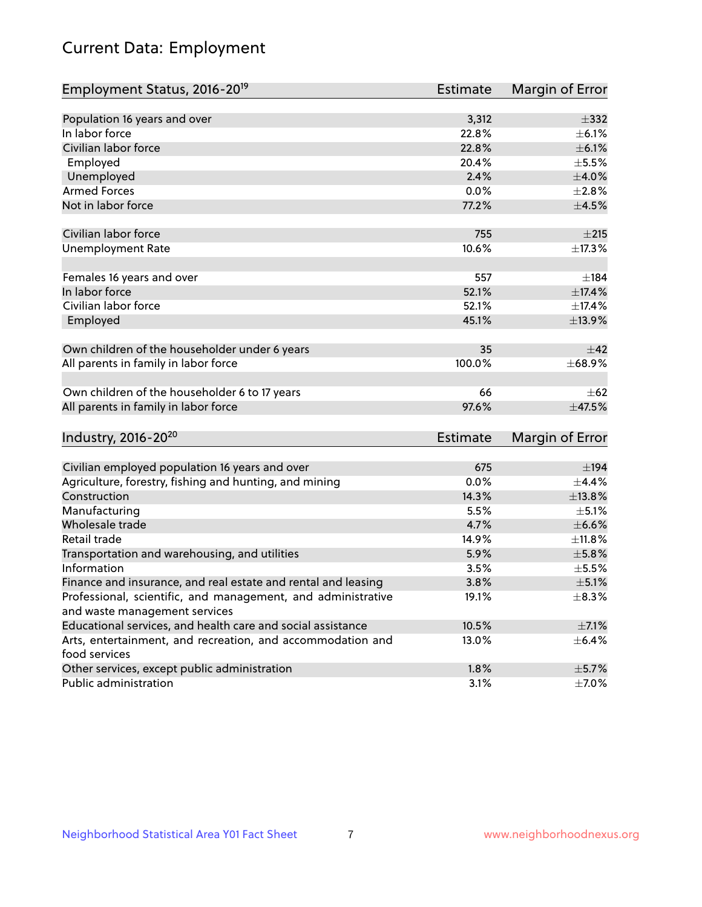# Current Data: Employment

| Employment Status, 2016-20 <sup>19</sup>                                    | <b>Estimate</b> | Margin of Error  |
|-----------------------------------------------------------------------------|-----------------|------------------|
|                                                                             |                 |                  |
| Population 16 years and over                                                | 3,312           | $\pm$ 332        |
| In labor force                                                              | 22.8%           | $\pm$ 6.1%       |
| Civilian labor force                                                        | 22.8%           | $\pm$ 6.1%       |
| Employed                                                                    | 20.4%           | $\pm$ 5.5%       |
| Unemployed                                                                  | 2.4%            | $\pm 4.0\%$      |
| <b>Armed Forces</b>                                                         | 0.0%            | ±2.8%            |
| Not in labor force                                                          | 77.2%           | $\pm$ 4.5%       |
| Civilian labor force                                                        | 755             | $\pm 215$        |
| <b>Unemployment Rate</b>                                                    | 10.6%           | ±17.3%           |
| Females 16 years and over                                                   | 557             | $\pm$ 184        |
| In labor force                                                              | 52.1%           | $\pm$ 17.4%      |
| Civilian labor force                                                        | 52.1%           | ±17.4%           |
| Employed                                                                    | 45.1%           | ±13.9%           |
| Own children of the householder under 6 years                               | 35              | $\pm$ 42         |
| All parents in family in labor force                                        | 100.0%          | ±68.9%           |
| Own children of the householder 6 to 17 years                               | 66              | $\pm 62$         |
| All parents in family in labor force                                        | 97.6%           | $\pm$ 47.5%      |
| Industry, 2016-20 <sup>20</sup>                                             | <b>Estimate</b> | Margin of Error  |
|                                                                             |                 |                  |
| Civilian employed population 16 years and over                              | 675             | $\pm$ 194        |
| Agriculture, forestry, fishing and hunting, and mining                      | 0.0%            | ±4.4%            |
| Construction                                                                | 14.3%           | ±13.8%           |
| Manufacturing                                                               | 5.5%            | $\pm$ 5.1%       |
| Wholesale trade                                                             | 4.7%            | $\pm$ 6.6%       |
| Retail trade                                                                | 14.9%           | ±11.8%           |
| Transportation and warehousing, and utilities                               | 5.9%            | $\pm$ 5.8%       |
| Information                                                                 | 3.5%            | $\pm$ 5.5 $\!\%$ |
| Finance and insurance, and real estate and rental and leasing               | 3.8%            | $\pm$ 5.1%       |
| Professional, scientific, and management, and administrative                | 19.1%           | $\pm$ 8.3%       |
| and waste management services                                               |                 |                  |
| Educational services, and health care and social assistance                 | 10.5%           | $\pm$ 7.1%       |
| Arts, entertainment, and recreation, and accommodation and<br>food services | 13.0%           | $\pm$ 6.4%       |
| Other services, except public administration                                | 1.8%            | $\pm$ 5.7%       |
| Public administration                                                       | 3.1%            | $\pm$ 7.0%       |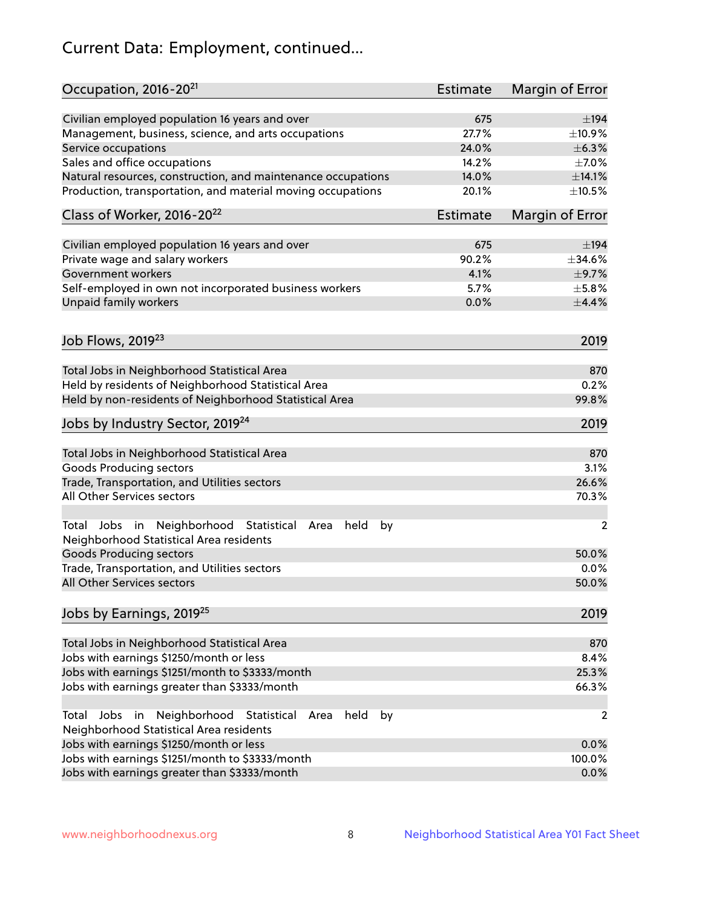# Current Data: Employment, continued...

| Occupation, 2016-20 <sup>21</sup>                                                                       | <b>Estimate</b> | Margin of Error |
|---------------------------------------------------------------------------------------------------------|-----------------|-----------------|
| Civilian employed population 16 years and over                                                          | 675             | $\pm$ 194       |
| Management, business, science, and arts occupations                                                     | 27.7%           | ±10.9%          |
| Service occupations                                                                                     | 24.0%           | $\pm$ 6.3%      |
| Sales and office occupations                                                                            | 14.2%           | $\pm$ 7.0%      |
| Natural resources, construction, and maintenance occupations                                            | 14.0%           | ±14.1%          |
| Production, transportation, and material moving occupations                                             | 20.1%           | $\pm 10.5\%$    |
| Class of Worker, 2016-20 <sup>22</sup>                                                                  | <b>Estimate</b> | Margin of Error |
| Civilian employed population 16 years and over                                                          | 675             | $\pm$ 194       |
| Private wage and salary workers                                                                         | 90.2%           | $\pm$ 34.6%     |
| Government workers                                                                                      | 4.1%            | $\pm$ 9.7%      |
| Self-employed in own not incorporated business workers                                                  | 5.7%            | $\pm$ 5.8%      |
| Unpaid family workers                                                                                   | 0.0%            | $\pm$ 4.4%      |
| Job Flows, 2019 <sup>23</sup>                                                                           |                 | 2019            |
|                                                                                                         |                 |                 |
| Total Jobs in Neighborhood Statistical Area                                                             |                 | 870             |
| Held by residents of Neighborhood Statistical Area                                                      |                 | 0.2%            |
| Held by non-residents of Neighborhood Statistical Area                                                  |                 | 99.8%           |
| Jobs by Industry Sector, 2019 <sup>24</sup>                                                             |                 | 2019            |
| Total Jobs in Neighborhood Statistical Area                                                             |                 | 870             |
| <b>Goods Producing sectors</b>                                                                          |                 | 3.1%            |
| Trade, Transportation, and Utilities sectors                                                            |                 | 26.6%           |
| All Other Services sectors                                                                              |                 | 70.3%           |
|                                                                                                         |                 |                 |
| Total Jobs in Neighborhood Statistical<br>held<br>by<br>Area<br>Neighborhood Statistical Area residents |                 | $\overline{2}$  |
| <b>Goods Producing sectors</b>                                                                          |                 | 50.0%           |
| Trade, Transportation, and Utilities sectors                                                            |                 | 0.0%            |
| All Other Services sectors                                                                              |                 | 50.0%           |
| Jobs by Earnings, 2019 <sup>25</sup>                                                                    |                 | 2019            |
| Total Jobs in Neighborhood Statistical Area                                                             |                 | 870             |
| Jobs with earnings \$1250/month or less                                                                 |                 | 8.4%            |
| Jobs with earnings \$1251/month to \$3333/month                                                         |                 | 25.3%           |
| Jobs with earnings greater than \$3333/month                                                            |                 | 66.3%           |
| Neighborhood Statistical<br>Jobs<br>in<br>held<br>by<br>Total<br>Area                                   |                 | 2               |
| Neighborhood Statistical Area residents                                                                 |                 |                 |
| Jobs with earnings \$1250/month or less                                                                 |                 | 0.0%            |
| Jobs with earnings \$1251/month to \$3333/month                                                         |                 | 100.0%          |
| Jobs with earnings greater than \$3333/month                                                            |                 | 0.0%            |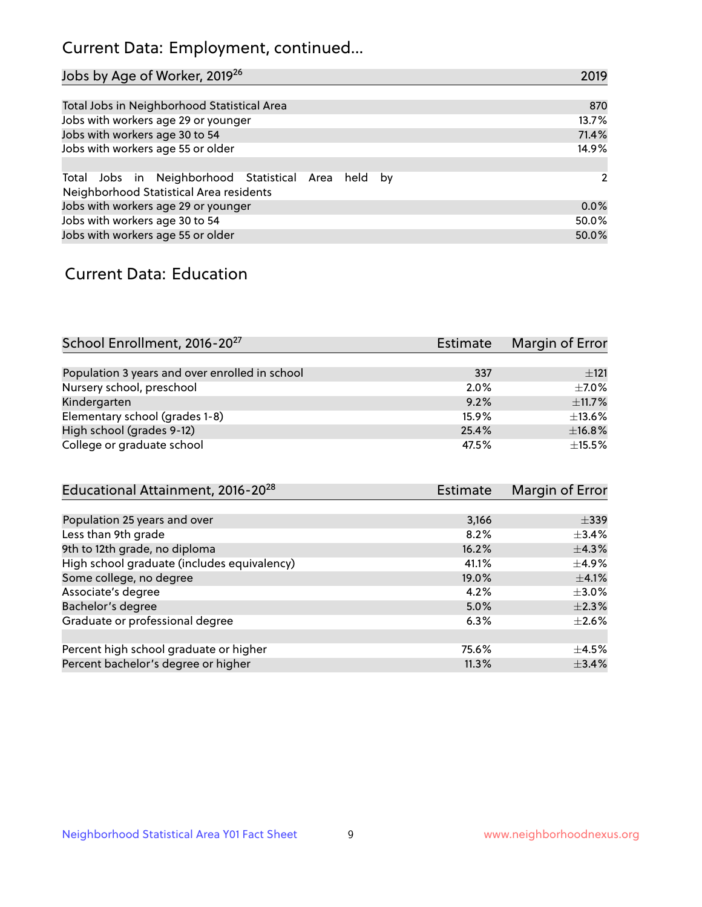## Current Data: Employment, continued...

| Jobs by Age of Worker, 2019 <sup>26</sup>                                                      | 2019  |
|------------------------------------------------------------------------------------------------|-------|
|                                                                                                |       |
| Total Jobs in Neighborhood Statistical Area                                                    | 870   |
| Jobs with workers age 29 or younger                                                            | 13.7% |
| Jobs with workers age 30 to 54                                                                 | 71.4% |
| Jobs with workers age 55 or older                                                              | 14.9% |
|                                                                                                |       |
| Total Jobs in Neighborhood Statistical Area held by<br>Neighborhood Statistical Area residents | 2     |
| Jobs with workers age 29 or younger                                                            | 0.0%  |
| Jobs with workers age 30 to 54                                                                 | 50.0% |
| Jobs with workers age 55 or older                                                              | 50.0% |

### Current Data: Education

| School Enrollment, 2016-20 <sup>27</sup>       | Estimate | Margin of Error |
|------------------------------------------------|----------|-----------------|
|                                                |          |                 |
| Population 3 years and over enrolled in school | 337      | ±121            |
| Nursery school, preschool                      | 2.0%     | $+7.0%$         |
| Kindergarten                                   | 9.2%     | ±11.7%          |
| Elementary school (grades 1-8)                 | 15.9%    | $\pm$ 13.6%     |
| High school (grades 9-12)                      | 25.4%    | ±16.8%          |
| College or graduate school                     | 47.5%    | $\pm$ 15.5%     |

| Educational Attainment, 2016-20 <sup>28</sup> | <b>Estimate</b> | Margin of Error |
|-----------------------------------------------|-----------------|-----------------|
|                                               |                 |                 |
| Population 25 years and over                  | 3,166           | $\pm$ 339       |
| Less than 9th grade                           | 8.2%            | $\pm$ 3.4%      |
| 9th to 12th grade, no diploma                 | 16.2%           | $\pm$ 4.3%      |
| High school graduate (includes equivalency)   | 41.1%           | $\pm$ 4.9%      |
| Some college, no degree                       | 19.0%           | $\pm$ 4.1%      |
| Associate's degree                            | 4.2%            | $\pm 3.0\%$     |
| Bachelor's degree                             | 5.0%            | $\pm 2.3\%$     |
| Graduate or professional degree               | 6.3%            | $+2.6%$         |
|                                               |                 |                 |
| Percent high school graduate or higher        | 75.6%           | $\pm$ 4.5%      |
| Percent bachelor's degree or higher           | 11.3%           | $\pm$ 3.4%      |
|                                               |                 |                 |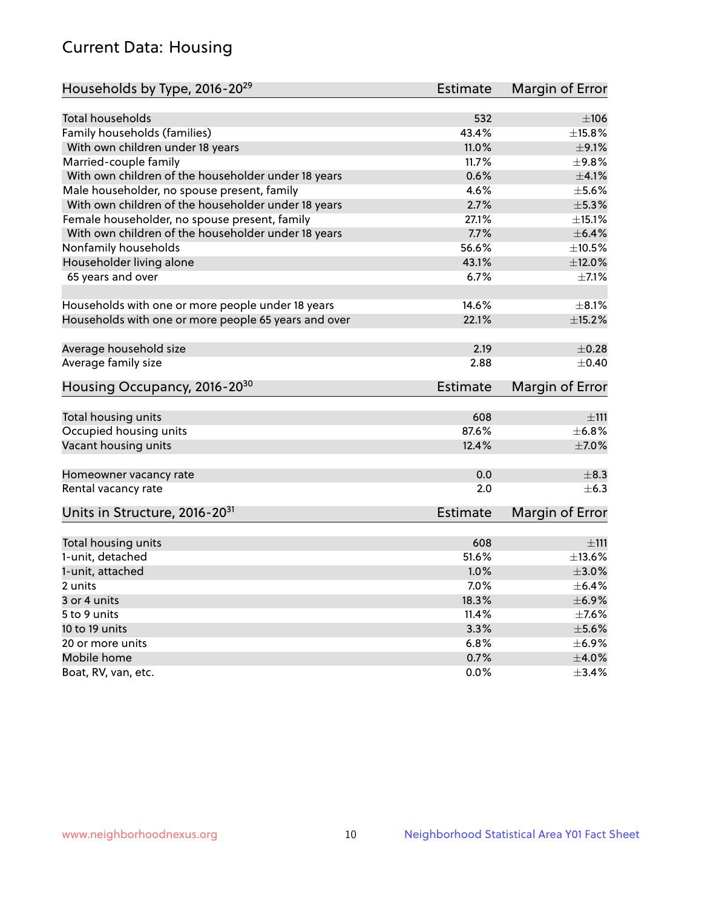## Current Data: Housing

| Households by Type, 2016-20 <sup>29</sup>            | <b>Estimate</b> | Margin of Error |
|------------------------------------------------------|-----------------|-----------------|
|                                                      |                 |                 |
| Total households                                     | 532             | $\pm 106$       |
| Family households (families)                         | 43.4%           | ±15.8%          |
| With own children under 18 years                     | 11.0%           | $\pm$ 9.1%      |
| Married-couple family                                | 11.7%           | ±9.8%           |
| With own children of the householder under 18 years  | 0.6%            | $\pm 4.1\%$     |
| Male householder, no spouse present, family          | 4.6%            | $\pm$ 5.6%      |
| With own children of the householder under 18 years  | 2.7%            | $\pm$ 5.3%      |
| Female householder, no spouse present, family        | 27.1%           | $\pm$ 15.1%     |
| With own children of the householder under 18 years  | 7.7%            | $\pm$ 6.4%      |
| Nonfamily households                                 | 56.6%           | $\pm 10.5\%$    |
| Householder living alone                             | 43.1%           | $\pm$ 12.0%     |
| 65 years and over                                    | 6.7%            | $\pm$ 7.1%      |
|                                                      |                 |                 |
| Households with one or more people under 18 years    | 14.6%           | $\pm 8.1\%$     |
| Households with one or more people 65 years and over | 22.1%           | $\pm$ 15.2%     |
|                                                      |                 |                 |
| Average household size                               | 2.19            | $\pm$ 0.28      |
| Average family size                                  | 2.88            | $\pm$ 0.40      |
| Housing Occupancy, 2016-20 <sup>30</sup>             | <b>Estimate</b> | Margin of Error |
| Total housing units                                  | 608             | ±111            |
| Occupied housing units                               | 87.6%           | $\pm$ 6.8%      |
| Vacant housing units                                 | 12.4%           | $\pm$ 7.0%      |
|                                                      |                 |                 |
| Homeowner vacancy rate                               | 0.0             | $\pm$ 8.3       |
| Rental vacancy rate                                  | 2.0             | $+6.3$          |
| Units in Structure, 2016-20 <sup>31</sup>            | Estimate        | Margin of Error |
|                                                      |                 |                 |
| Total housing units                                  | 608             | ±111            |
| 1-unit, detached                                     | 51.6%           | ±13.6%          |
| 1-unit, attached                                     | 1.0%            | $\pm 3.0\%$     |
| 2 units                                              | 7.0%            | $\pm$ 6.4%      |
| 3 or 4 units                                         | 18.3%           | $\pm$ 6.9%      |
| 5 to 9 units                                         | 11.4%           | $\pm$ 7.6%      |
| 10 to 19 units                                       | 3.3%            | $\pm$ 5.6%      |
| 20 or more units                                     | 6.8%            | $\pm$ 6.9%      |
| Mobile home                                          | 0.7%            | $\pm 4.0\%$     |
| Boat, RV, van, etc.                                  | $0.0\%$         | $\pm$ 3.4%      |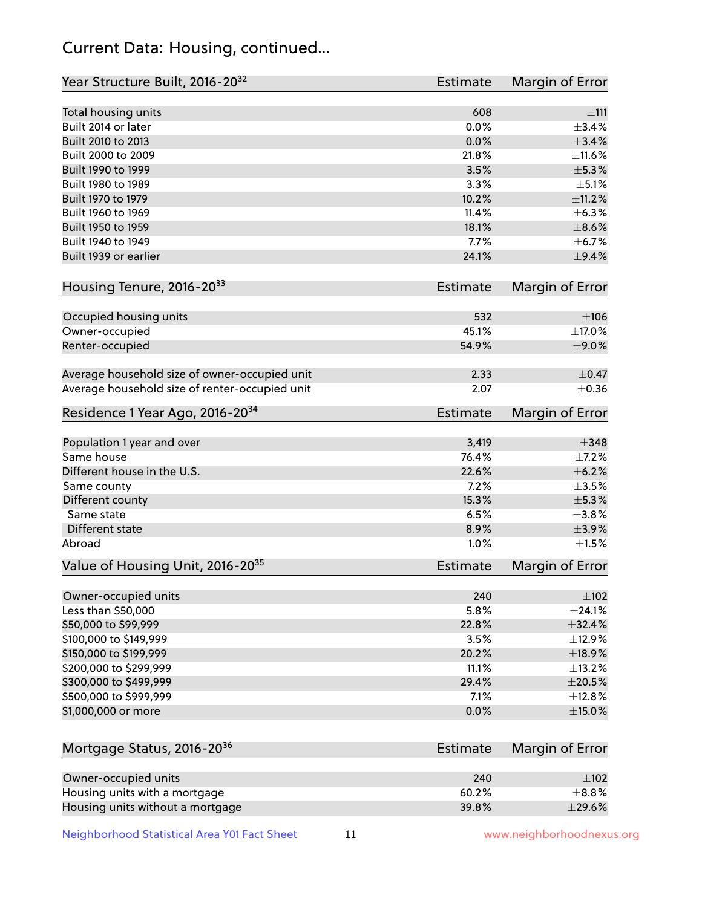## Current Data: Housing, continued...

| Year Structure Built, 2016-20 <sup>32</sup>                       | <b>Estimate</b> | Margin of Error           |
|-------------------------------------------------------------------|-----------------|---------------------------|
| Total housing units                                               | 608             | ±111                      |
| Built 2014 or later                                               | 0.0%            | $\pm$ 3.4%                |
| Built 2010 to 2013                                                | 0.0%            | $\pm$ 3.4%                |
| Built 2000 to 2009                                                | 21.8%           | ±11.6%                    |
| Built 1990 to 1999                                                | 3.5%            | $\pm$ 5.3%                |
| Built 1980 to 1989                                                | 3.3%            | $\pm$ 5.1%                |
| Built 1970 to 1979                                                | 10.2%           | ±11.2%                    |
| Built 1960 to 1969                                                | 11.4%           | $\pm$ 6.3%                |
| Built 1950 to 1959                                                | 18.1%           | $\pm$ 8.6%                |
| Built 1940 to 1949                                                | 7.7%            | $\pm$ 6.7%                |
| Built 1939 or earlier                                             | 24.1%           | $\pm$ 9.4%                |
| Housing Tenure, 2016-2033                                         | Estimate        | Margin of Error           |
| Occupied housing units                                            | 532             | ±106                      |
| Owner-occupied                                                    | 45.1%           | ±17.0%                    |
| Renter-occupied                                                   | 54.9%           | $\pm$ 9.0%                |
| Average household size of owner-occupied unit                     | 2.33            | $\pm$ 0.47                |
| Average household size of renter-occupied unit                    | 2.07            | $\pm$ 0.36                |
| Residence 1 Year Ago, 2016-20 <sup>34</sup>                       | Estimate        | Margin of Error           |
|                                                                   |                 |                           |
| Population 1 year and over                                        | 3,419<br>76.4%  | $\pm$ 348                 |
| Same house<br>Different house in the U.S.                         | 22.6%           | $\pm$ 7.2%<br>$\pm$ 6.2%  |
|                                                                   | 7.2%            | $\pm 3.5\%$               |
| Same county                                                       | 15.3%           | $\pm$ 5.3%                |
| Different county<br>Same state                                    | 6.5%            | ±3.8%                     |
| Different state                                                   | 8.9%            | $\pm$ 3.9%                |
| Abroad                                                            | 1.0%            | $\pm 1.5\%$               |
|                                                                   |                 |                           |
| Value of Housing Unit, 2016-20 <sup>35</sup>                      | <b>Estimate</b> | Margin of Error           |
| Owner-occupied units                                              | 240             | $\pm$ 102                 |
| Less than \$50,000                                                | 5.8%            | $\pm$ 24.1%               |
| \$50,000 to \$99,999                                              | 22.8%           | ±32.4%                    |
| \$100,000 to \$149,999                                            | 3.5%            | ±12.9%                    |
| \$150,000 to \$199,999                                            | 20.2%           | ±18.9%                    |
| \$200,000 to \$299,999                                            | 11.1%           | ±13.2%                    |
| \$300,000 to \$499,999                                            | 29.4%           | $\pm 20.5\%$              |
| \$500,000 to \$999,999                                            | 7.1%            | ±12.8%                    |
| \$1,000,000 or more                                               | 0.0%            | $\pm$ 15.0%               |
| Mortgage Status, 2016-20 <sup>36</sup>                            | Estimate        | Margin of Error           |
|                                                                   |                 |                           |
| Owner-occupied units                                              | 240<br>60.2%    | $\pm$ 102                 |
| Housing units with a mortgage<br>Housing units without a mortgage | 39.8%           | $\pm$ 8.8%<br>$\pm$ 29.6% |
|                                                                   |                 |                           |

Neighborhood Statistical Area Y01 Fact Sheet 11 11 www.neighborhoodnexus.org

Housing units without a mortgage 39.8%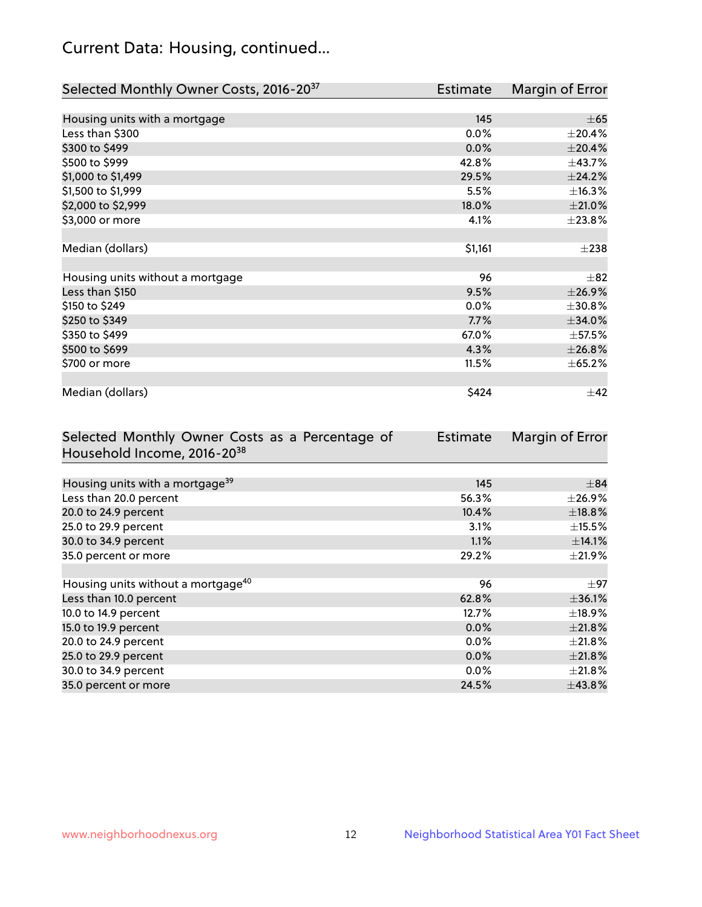## Current Data: Housing, continued...

| Selected Monthly Owner Costs, 2016-20 <sup>37</sup> | Estimate | Margin of Error |
|-----------------------------------------------------|----------|-----------------|
|                                                     |          |                 |
| Housing units with a mortgage                       | 145      | $\pm 65$        |
| Less than \$300                                     | 0.0%     | $\pm 20.4\%$    |
| \$300 to \$499                                      | 0.0%     | ±20.4%          |
| \$500 to \$999                                      | 42.8%    | ±43.7%          |
| \$1,000 to \$1,499                                  | 29.5%    | ±24.2%          |
| \$1,500 to \$1,999                                  | 5.5%     | ±16.3%          |
| \$2,000 to \$2,999                                  | 18.0%    | $\pm 21.0\%$    |
| \$3,000 or more                                     | 4.1%     | ±23.8%          |
|                                                     |          |                 |
| Median (dollars)                                    | \$1,161  | $\pm 238$       |
|                                                     |          |                 |
| Housing units without a mortgage                    | 96       | $\pm$ 82        |
| Less than \$150                                     | 9.5%     | ±26.9%          |
| \$150 to \$249                                      | $0.0\%$  | ±30.8%          |
| \$250 to \$349                                      | 7.7%     | $\pm$ 34.0%     |
| \$350 to \$499                                      | 67.0%    | $\pm$ 57.5%     |
| \$500 to \$699                                      | 4.3%     | ±26.8%          |
| \$700 or more                                       | 11.5%    | $\pm 65.2\%$    |
|                                                     |          |                 |
| Median (dollars)                                    | \$424    | ±42             |

| Selected Monthly Owner Costs as a Percentage of | <b>Estimate</b> | Margin of Error |
|-------------------------------------------------|-----------------|-----------------|
| Household Income, 2016-20 <sup>38</sup>         |                 |                 |
|                                                 |                 |                 |
| Housing units with a mortgage <sup>39</sup>     | 145             | $\pm$ 84        |
| Less than 20.0 percent                          | 56.3%           | $\pm 26.9\%$    |
| 20.0 to 24.9 percent                            | 10.4%           | ±18.8%          |
| 25.0 to 29.9 percent                            | 3.1%            | $\pm$ 15.5%     |
| 30.0 to 34.9 percent                            | 1.1%            | ±14.1%          |
| 35.0 percent or more                            | 29.2%           | $\pm 21.9\%$    |
|                                                 |                 |                 |
| Housing units without a mortgage <sup>40</sup>  | 96              | $\pm$ 97        |
| Less than 10.0 percent                          | 62.8%           | ±36.1%          |
| 10.0 to 14.9 percent                            | 12.7%           | $\pm$ 18.9%     |
| 15.0 to 19.9 percent                            | 0.0%            | $\pm 21.8\%$    |
| 20.0 to 24.9 percent                            | $0.0\%$         | $\pm 21.8\%$    |
| 25.0 to 29.9 percent                            | 0.0%            | $\pm 21.8\%$    |
| 30.0 to 34.9 percent                            | $0.0\%$         | $\pm 21.8\%$    |
| 35.0 percent or more                            | 24.5%           | $\pm$ 43.8%     |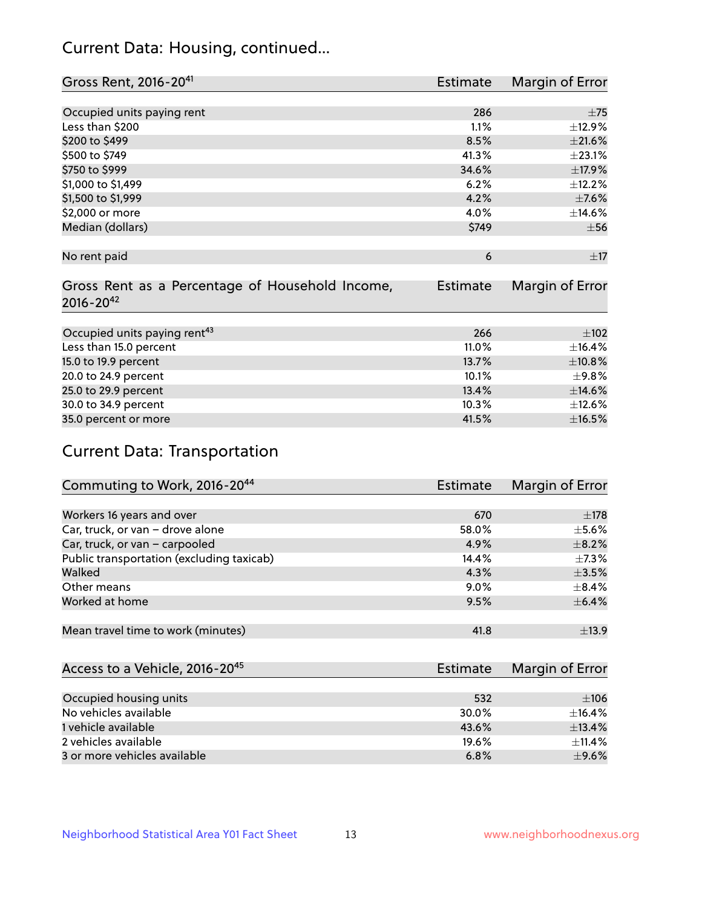## Current Data: Housing, continued...

| Gross Rent, 2016-20 <sup>41</sup>               | <b>Estimate</b> | Margin of Error |
|-------------------------------------------------|-----------------|-----------------|
|                                                 |                 |                 |
| Occupied units paying rent                      | 286             | $\pm$ 75        |
| Less than \$200                                 | 1.1%            | ±12.9%          |
| \$200 to \$499                                  | 8.5%            | $\pm 21.6\%$    |
| \$500 to \$749                                  | 41.3%           | ±23.1%          |
| \$750 to \$999                                  | 34.6%           | ±17.9%          |
| \$1,000 to \$1,499                              | 6.2%            | ±12.2%          |
| \$1,500 to \$1,999                              | 4.2%            | $\pm$ 7.6%      |
| \$2,000 or more                                 | 4.0%            | ±14.6%          |
| Median (dollars)                                | \$749           | $\pm$ 56        |
|                                                 |                 |                 |
| No rent paid                                    | 6               | ±17             |
|                                                 |                 |                 |
| Gross Rent as a Percentage of Household Income, | <b>Estimate</b> | Margin of Error |
| $2016 - 20^{42}$                                |                 |                 |
|                                                 |                 |                 |
| Occupied units paying rent <sup>43</sup>        | 266             | $\pm 102$       |
| Less than 15.0 percent                          | 11.0%           | ±16.4%          |
| 15.0 to 19.9 percent                            | 13.7%           | ±10.8%          |
| 20.0 to 24.9 percent                            | 10.1%           | ±9.8%           |
| 25.0 to 29.9 percent                            | 13.4%           | $\pm$ 14.6%     |
| 30.0 to 34.9 percent                            | 10.3%           | ±12.6%          |
| 35.0 percent or more                            | 41.5%           | $\pm$ 16.5%     |

# Current Data: Transportation

| Commuting to Work, 2016-20 <sup>44</sup>  | Estimate | Margin of Error |
|-------------------------------------------|----------|-----------------|
|                                           |          |                 |
| Workers 16 years and over                 | 670      | $\pm$ 178       |
| Car, truck, or van - drove alone          | 58.0%    | $\pm$ 5.6%      |
| Car, truck, or van - carpooled            | 4.9%     | $\pm$ 8.2%      |
| Public transportation (excluding taxicab) | 14.4%    | $+7.3%$         |
| Walked                                    | 4.3%     | $\pm$ 3.5%      |
| Other means                               | $9.0\%$  | $\pm$ 8.4%      |
| Worked at home                            | 9.5%     | $\pm$ 6.4%      |
|                                           |          |                 |
| Mean travel time to work (minutes)        | 41.8     | $\pm$ 13.9      |

| Access to a Vehicle, 2016-20 <sup>45</sup> | Estimate | Margin of Error |
|--------------------------------------------|----------|-----------------|
|                                            |          |                 |
| Occupied housing units                     | 532      | ±106            |
| No vehicles available                      | 30.0%    | $+16.4%$        |
| 1 vehicle available                        | 43.6%    | ±13.4%          |
| 2 vehicles available                       | 19.6%    | $+11.4%$        |
| 3 or more vehicles available               | 6.8%     | $\pm$ 9.6%      |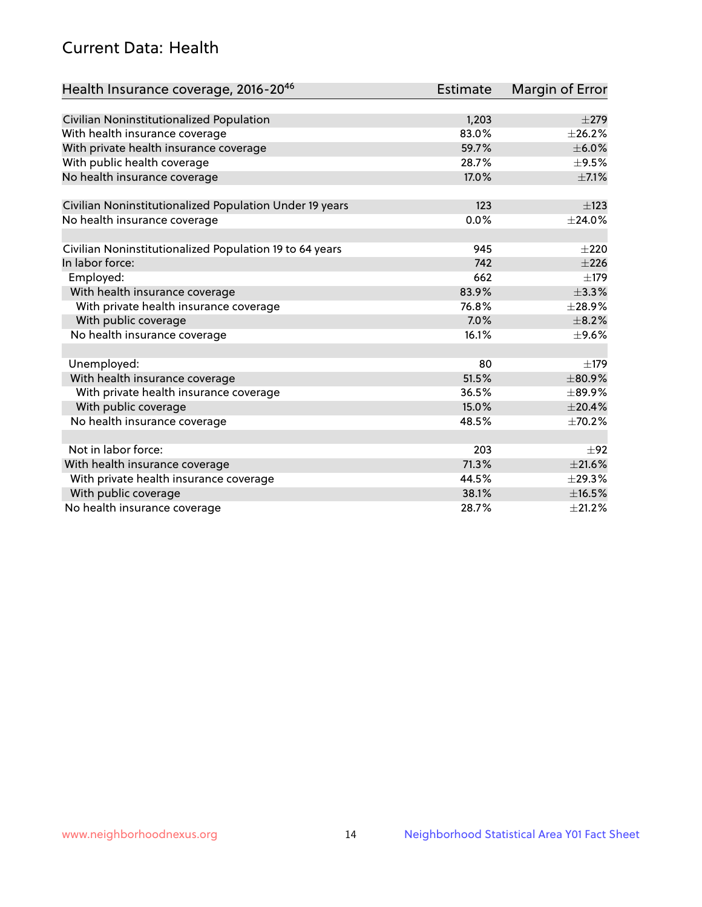## Current Data: Health

| Health Insurance coverage, 2016-2046                    | Estimate | <b>Margin of Error</b> |
|---------------------------------------------------------|----------|------------------------|
|                                                         |          |                        |
| Civilian Noninstitutionalized Population                | 1,203    | $\pm 279$              |
| With health insurance coverage                          | 83.0%    | ±26.2%                 |
| With private health insurance coverage                  | 59.7%    | $\pm$ 6.0%             |
| With public health coverage                             | 28.7%    | $\pm$ 9.5%             |
| No health insurance coverage                            | 17.0%    | $\pm$ 7.1%             |
| Civilian Noninstitutionalized Population Under 19 years | 123      | $\pm$ 123              |
| No health insurance coverage                            | 0.0%     | ±24.0%                 |
|                                                         |          |                        |
| Civilian Noninstitutionalized Population 19 to 64 years | 945      | $\pm 220$              |
| In labor force:                                         | 742      | $\pm 226$              |
| Employed:                                               | 662      | $\pm$ 179              |
| With health insurance coverage                          | 83.9%    | ±3.3%                  |
| With private health insurance coverage                  | 76.8%    | ±28.9%                 |
| With public coverage                                    | 7.0%     | $\pm$ 8.2%             |
| No health insurance coverage                            | 16.1%    | $\pm$ 9.6%             |
| Unemployed:                                             | 80       | $\pm$ 179              |
| With health insurance coverage                          | 51.5%    | ±80.9%                 |
| With private health insurance coverage                  | 36.5%    | $\pm$ 89.9%            |
| With public coverage                                    | 15.0%    | ±20.4%                 |
| No health insurance coverage                            | 48.5%    | $\pm 70.2\%$           |
|                                                         |          |                        |
| Not in labor force:                                     | 203      | ±92                    |
| With health insurance coverage                          | 71.3%    | $\pm 21.6\%$           |
| With private health insurance coverage                  | 44.5%    | ±29.3%                 |
| With public coverage                                    | 38.1%    | ±16.5%                 |
| No health insurance coverage                            | 28.7%    | $\pm 21.2\%$           |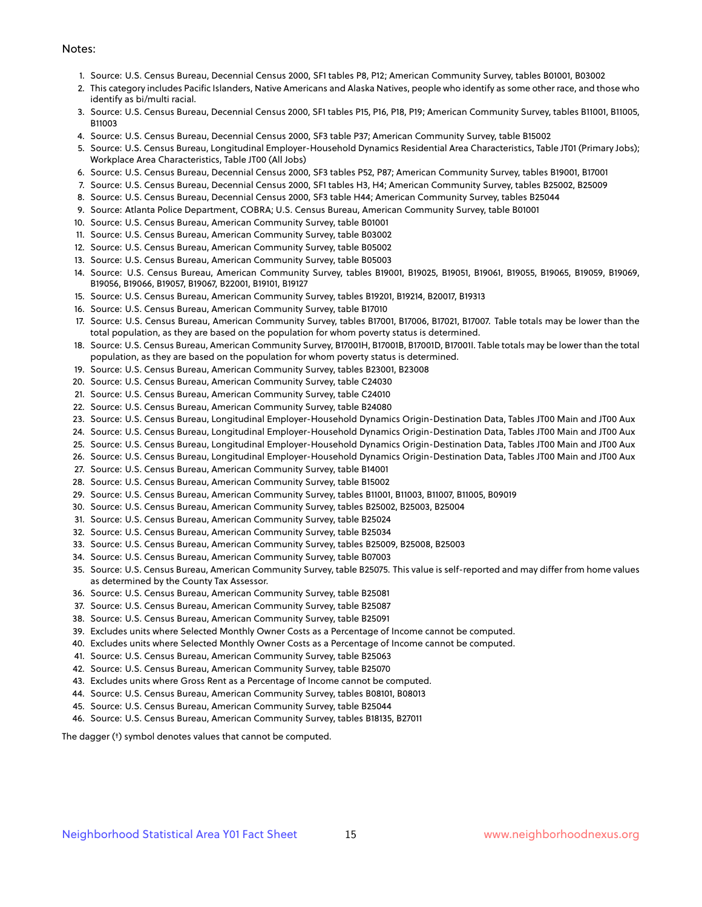#### Notes:

- 1. Source: U.S. Census Bureau, Decennial Census 2000, SF1 tables P8, P12; American Community Survey, tables B01001, B03002
- 2. This category includes Pacific Islanders, Native Americans and Alaska Natives, people who identify as some other race, and those who identify as bi/multi racial.
- 3. Source: U.S. Census Bureau, Decennial Census 2000, SF1 tables P15, P16, P18, P19; American Community Survey, tables B11001, B11005, B11003
- 4. Source: U.S. Census Bureau, Decennial Census 2000, SF3 table P37; American Community Survey, table B15002
- 5. Source: U.S. Census Bureau, Longitudinal Employer-Household Dynamics Residential Area Characteristics, Table JT01 (Primary Jobs); Workplace Area Characteristics, Table JT00 (All Jobs)
- 6. Source: U.S. Census Bureau, Decennial Census 2000, SF3 tables P52, P87; American Community Survey, tables B19001, B17001
- 7. Source: U.S. Census Bureau, Decennial Census 2000, SF1 tables H3, H4; American Community Survey, tables B25002, B25009
- 8. Source: U.S. Census Bureau, Decennial Census 2000, SF3 table H44; American Community Survey, tables B25044
- 9. Source: Atlanta Police Department, COBRA; U.S. Census Bureau, American Community Survey, table B01001
- 10. Source: U.S. Census Bureau, American Community Survey, table B01001
- 11. Source: U.S. Census Bureau, American Community Survey, table B03002
- 12. Source: U.S. Census Bureau, American Community Survey, table B05002
- 13. Source: U.S. Census Bureau, American Community Survey, table B05003
- 14. Source: U.S. Census Bureau, American Community Survey, tables B19001, B19025, B19051, B19061, B19055, B19065, B19059, B19069, B19056, B19066, B19057, B19067, B22001, B19101, B19127
- 15. Source: U.S. Census Bureau, American Community Survey, tables B19201, B19214, B20017, B19313
- 16. Source: U.S. Census Bureau, American Community Survey, table B17010
- 17. Source: U.S. Census Bureau, American Community Survey, tables B17001, B17006, B17021, B17007. Table totals may be lower than the total population, as they are based on the population for whom poverty status is determined.
- 18. Source: U.S. Census Bureau, American Community Survey, B17001H, B17001B, B17001D, B17001I. Table totals may be lower than the total population, as they are based on the population for whom poverty status is determined.
- 19. Source: U.S. Census Bureau, American Community Survey, tables B23001, B23008
- 20. Source: U.S. Census Bureau, American Community Survey, table C24030
- 21. Source: U.S. Census Bureau, American Community Survey, table C24010
- 22. Source: U.S. Census Bureau, American Community Survey, table B24080
- 23. Source: U.S. Census Bureau, Longitudinal Employer-Household Dynamics Origin-Destination Data, Tables JT00 Main and JT00 Aux
- 24. Source: U.S. Census Bureau, Longitudinal Employer-Household Dynamics Origin-Destination Data, Tables JT00 Main and JT00 Aux
- 25. Source: U.S. Census Bureau, Longitudinal Employer-Household Dynamics Origin-Destination Data, Tables JT00 Main and JT00 Aux
- 26. Source: U.S. Census Bureau, Longitudinal Employer-Household Dynamics Origin-Destination Data, Tables JT00 Main and JT00 Aux
- 27. Source: U.S. Census Bureau, American Community Survey, table B14001
- 28. Source: U.S. Census Bureau, American Community Survey, table B15002
- 29. Source: U.S. Census Bureau, American Community Survey, tables B11001, B11003, B11007, B11005, B09019
- 30. Source: U.S. Census Bureau, American Community Survey, tables B25002, B25003, B25004
- 31. Source: U.S. Census Bureau, American Community Survey, table B25024
- 32. Source: U.S. Census Bureau, American Community Survey, table B25034
- 33. Source: U.S. Census Bureau, American Community Survey, tables B25009, B25008, B25003
- 34. Source: U.S. Census Bureau, American Community Survey, table B07003
- 35. Source: U.S. Census Bureau, American Community Survey, table B25075. This value is self-reported and may differ from home values as determined by the County Tax Assessor.
- 36. Source: U.S. Census Bureau, American Community Survey, table B25081
- 37. Source: U.S. Census Bureau, American Community Survey, table B25087
- 38. Source: U.S. Census Bureau, American Community Survey, table B25091
- 39. Excludes units where Selected Monthly Owner Costs as a Percentage of Income cannot be computed.
- 40. Excludes units where Selected Monthly Owner Costs as a Percentage of Income cannot be computed.
- 41. Source: U.S. Census Bureau, American Community Survey, table B25063
- 42. Source: U.S. Census Bureau, American Community Survey, table B25070
- 43. Excludes units where Gross Rent as a Percentage of Income cannot be computed.
- 44. Source: U.S. Census Bureau, American Community Survey, tables B08101, B08013
- 45. Source: U.S. Census Bureau, American Community Survey, table B25044
- 46. Source: U.S. Census Bureau, American Community Survey, tables B18135, B27011

The dagger (†) symbol denotes values that cannot be computed.